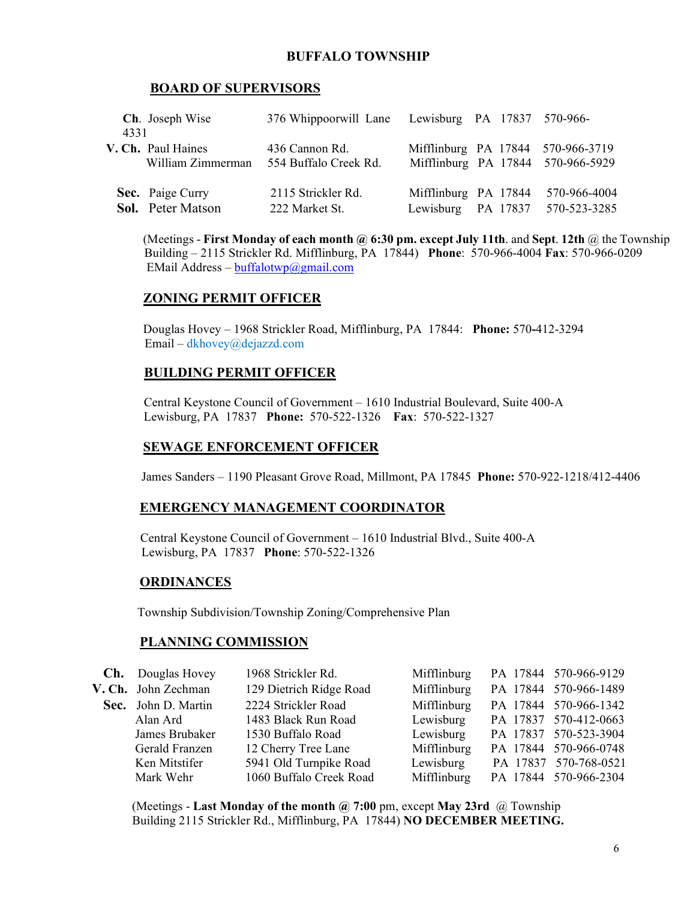# **BUFFALO TOWNSHIP**

# **BOARD OF SUPERVISORS**

| 4331               | Ch. Joseph Wise          | 376 Whippoorwill Lane Lewisburg PA 17837 570-966- |                                            |  |                                                                        |
|--------------------|--------------------------|---------------------------------------------------|--------------------------------------------|--|------------------------------------------------------------------------|
| V. Ch. Paul Haines | William Zimmerman        | 436 Cannon Rd.<br>554 Buffalo Creek Rd.           |                                            |  | Mifflinburg PA 17844 570-966-3719<br>Mifflinburg PA 17844 570-966-5929 |
| Sec. Paige Curry   | <b>Sol.</b> Peter Matson | 2115 Strickler Rd.<br>222 Market St.              | Mifflinburg PA 17844<br>Lewisburg PA 17837 |  | 570-966-4004<br>570-523-3285                                           |

 (Meetings - **First Monday of each month @ 6:30 pm. except July 11th**. and **Sept**. **12th** @ the Township Building – 2115 Strickler Rd. Mifflinburg, PA 17844) **Phone**: 570-966-4004 **Fax**: 570-966-0209 EMail Address – [buffalotwp@gmail.com](mailto:buffalotwp@gmail.com)

# **ZONING PERMIT OFFICER**

 Douglas Hovey – 1968 Strickler Road, Mifflinburg, PA 17844: **Phone:** 570**-**412-3294 Email – dkhovey@dejazzd.com

### **BUILDING PERMIT OFFICER**

Central Keystone Council of Government – 1610 Industrial Boulevard, Suite 400-A Lewisburg, PA 17837 **Phone:** 570-522-1326 **Fax**: 570-522-1327

### **SEWAGE ENFORCEMENT OFFICER**

James Sanders – 1190 Pleasant Grove Road, Millmont, PA 17845 **Phone:** 570-922-1218/412-4406

#### **EMERGENCY MANAGEMENT COORDINATOR**

 Central Keystone Council of Government – 1610 Industrial Blvd., Suite 400-A Lewisburg, PA 17837 **Phone**: 570-522-1326

#### **ORDINANCES**

Township Subdivision/Township Zoning/Comprehensive Plan

### **PLANNING COMMISSION**

| <b>Ch.</b> Douglas Hovey | 1968 Strickler Rd.      | Mifflinburg | PA 17844 570-966-9129 |
|--------------------------|-------------------------|-------------|-----------------------|
| V. Ch. John Zechman      | 129 Dietrich Ridge Road | Mifflinburg | PA 17844 570-966-1489 |
| Sec. John D. Martin      | 2224 Strickler Road     | Mifflinburg | PA 17844 570-966-1342 |
| Alan Ard                 | 1483 Black Run Road     | Lewisburg   | PA 17837 570-412-0663 |
| James Brubaker           | 1530 Buffalo Road       | Lewisburg   | PA 17837 570-523-3904 |
| Gerald Franzen           | 12 Cherry Tree Lane     | Mifflinburg | PA 17844 570-966-0748 |
| Ken Mitstifer            | 5941 Old Turnpike Road  | Lewisburg   | PA 17837 570-768-0521 |
| Mark Wehr                | 1060 Buffalo Creek Road | Mifflinburg | PA 17844 570-966-2304 |

 (Meetings - **Last Monday of the month @ 7:00** pm, except **May 23rd** @ Township Building 2115 Strickler Rd., Mifflinburg, PA 17844) **NO DECEMBER MEETING.**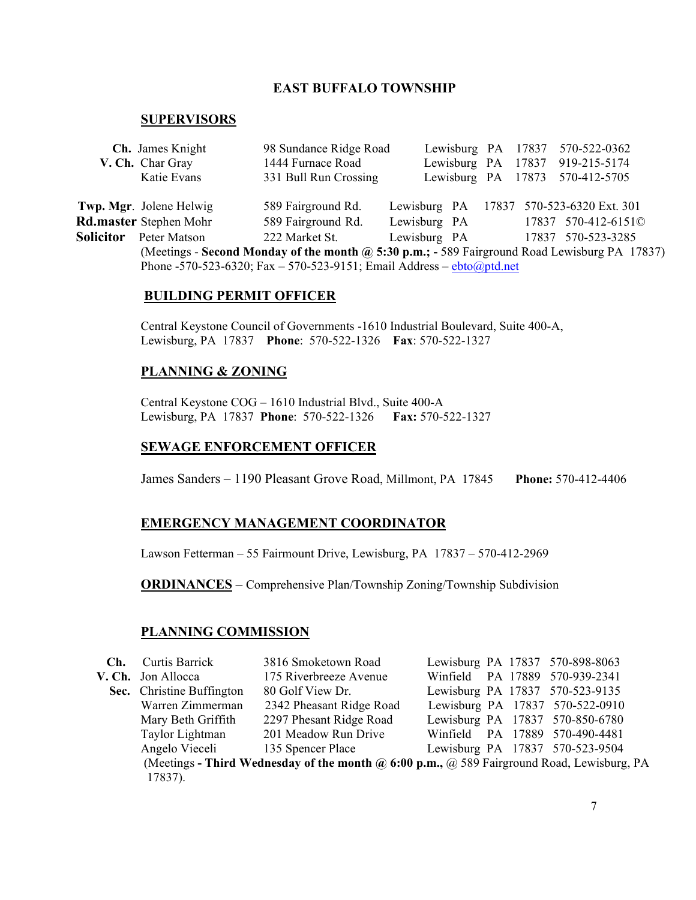# **EAST BUFFALO TOWNSHIP**

#### **SUPERVISORS**

|                                                                         | Ch. James Knight                                                                              | 98 Sundance Ridge Road |              |  |  | Lewisburg PA 17837 570-522-0362 |  |
|-------------------------------------------------------------------------|-----------------------------------------------------------------------------------------------|------------------------|--------------|--|--|---------------------------------|--|
|                                                                         | V. Ch. Char Gray                                                                              | 1444 Furnace Road      |              |  |  | Lewisburg PA 17837 919-215-5174 |  |
|                                                                         | Katie Evans                                                                                   | 331 Bull Run Crossing  |              |  |  | Lewisburg PA 17873 570-412-5705 |  |
|                                                                         |                                                                                               |                        |              |  |  |                                 |  |
|                                                                         | Twp. Mgr. Jolene Helwig                                                                       | 589 Fairground Rd.     | Lewisburg PA |  |  | 17837 570-523-6320 Ext. 301     |  |
|                                                                         | <b>Rd.master</b> Stephen Mohr                                                                 | 589 Fairground Rd.     | Lewisburg PA |  |  | 17837 570-412-6151©             |  |
| <b>Solicitor</b>                                                        | Peter Matson                                                                                  | 222 Market St.         | Lewisburg PA |  |  | 17837 570-523-3285              |  |
|                                                                         | (Meetings - Second Monday of the month @ 5:30 p.m.; - 589 Fairground Road Lewisburg PA 17837) |                        |              |  |  |                                 |  |
| Phone -570-523-6320; Fax - 570-523-9151; Email Address - $ebto@ptd.net$ |                                                                                               |                        |              |  |  |                                 |  |

#### **BUILDING PERMIT OFFICER**

Central Keystone Council of Governments -1610 Industrial Boulevard, Suite 400-A, Lewisburg, PA 17837 **Phone**: 570-522-1326 **Fax**: 570-522-1327

# **PLANNING & ZONING**

Central Keystone COG – 1610 Industrial Blvd., Suite 400-A Lewisburg, PA 17837 **Phone**: 570-522-1326 **Fax:** 570-522-1327

#### **SEWAGE ENFORCEMENT OFFICER**

James Sanders – 1190 Pleasant Grove Road, Millmont, PA 17845 **Phone:** 570-412-4406

#### **EMERGENCY MANAGEMENT COORDINATOR**

Lawson Fetterman – 55 Fairmount Drive, Lewisburg, PA 17837 – 570-412-2969

**ORDINANCES** – Comprehensive Plan/Township Zoning/Township Subdivision

#### **PLANNING COMMISSION**

| Ch. | Curtis Barrick                                                                                           | 3816 Smoketown Road      | Lewisburg PA 17837 570-898-8063 |  |  |  |
|-----|----------------------------------------------------------------------------------------------------------|--------------------------|---------------------------------|--|--|--|
|     | V. Ch. Jon Allocca                                                                                       | 175 Riverbreeze Avenue   | Winfield PA 17889 570-939-2341  |  |  |  |
|     | Sec. Christine Buffington                                                                                | 80 Golf View Dr.         | Lewisburg PA 17837 570-523-9135 |  |  |  |
|     | Warren Zimmerman                                                                                         | 2342 Pheasant Ridge Road | Lewisburg PA 17837 570-522-0910 |  |  |  |
|     | Mary Beth Griffith                                                                                       | 2297 Phesant Ridge Road  | Lewisburg PA 17837 570-850-6780 |  |  |  |
|     | Taylor Lightman                                                                                          | 201 Meadow Run Drive     | Winfield PA 17889 570-490-4481  |  |  |  |
|     | Angelo Vieceli                                                                                           | 135 Spencer Place        | Lewisburg PA 17837 570-523-9504 |  |  |  |
|     | (Meetings - Third Wednesday of the month $\omega$ 6:00 p.m., $\omega$ 589 Fairground Road, Lewisburg, PA |                          |                                 |  |  |  |
|     | 17837).                                                                                                  |                          |                                 |  |  |  |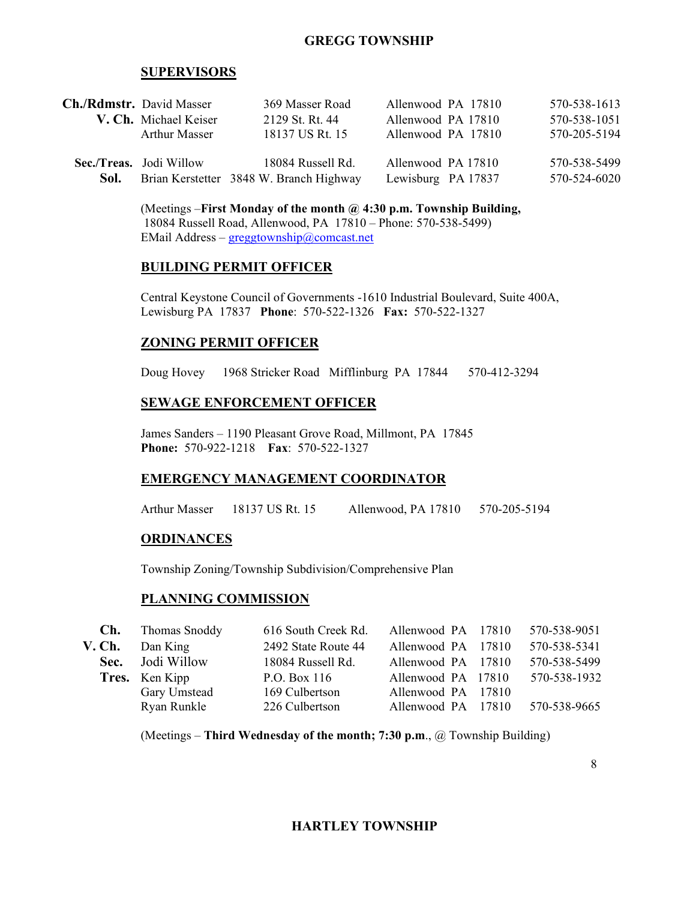### **GREGG TOWNSHIP**

#### **SUPERVISORS**

|      | <b>Ch./Rdmstr.</b> David Masser | 369 Masser Road                         | Allenwood PA 17810 | 570-538-1613 |
|------|---------------------------------|-----------------------------------------|--------------------|--------------|
|      | V. Ch. Michael Keiser           | 2129 St. Rt. 44                         | Allenwood PA 17810 | 570-538-1051 |
|      | Arthur Masser                   | 18137 US Rt. 15                         | Allenwood PA 17810 | 570-205-5194 |
|      | Sec./Treas. Jodi Willow         | 18084 Russell Rd.                       | Allenwood PA 17810 | 570-538-5499 |
| Sol. |                                 | Brian Kerstetter 3848 W. Branch Highway | Lewisburg PA 17837 | 570-524-6020 |

(Meetings –**First Monday of the month @ 4:30 p.m. Township Building,** 18084 Russell Road, Allenwood, PA 17810 – Phone: 570-538-5499) EMail Address – greggtownship@comcast.net

#### **BUILDING PERMIT OFFICER**

Central Keystone Council of Governments -1610 Industrial Boulevard, Suite 400A, Lewisburg PA 17837 **Phone**: 570-522-1326 **Fax:** 570-522-1327

#### **ZONING PERMIT OFFICER**

Doug Hovey 1968 Stricker Road Mifflinburg PA 17844 570-412-3294

#### **SEWAGE ENFORCEMENT OFFICER**

James Sanders – 1190 Pleasant Grove Road, Millmont, PA 17845 **Phone:** 570-922-1218 **Fax**: 570-522-1327

#### **EMERGENCY MANAGEMENT COORDINATOR**

Arthur Masser 18137 US Rt. 15 Allenwood, PA 17810 570-205-5194

#### **ORDINANCES**

Township Zoning/Township Subdivision/Comprehensive Plan

#### **PLANNING COMMISSION**

| Ch. | Thomas Snoddy         | 616 South Creek Rd. | Allenwood PA 17810 | 570-538-9051 |
|-----|-----------------------|---------------------|--------------------|--------------|
|     | $V. Ch.$ Dan King     | 2492 State Route 44 | Allenwood PA 17810 | 570-538-5341 |
|     | Sec. Jodi Willow      | 18084 Russell Rd.   | Allenwood PA 17810 | 570-538-5499 |
|     | <b>Tres.</b> Ken Kipp | P.O. Box 116        | Allenwood PA 17810 | 570-538-1932 |
|     | Gary Umstead          | 169 Culbertson      | Allenwood PA 17810 |              |
|     | Ryan Runkle           | 226 Culbertson      | Allenwood PA 17810 | 570-538-9665 |
|     |                       |                     |                    |              |

(Meetings – **Third Wednesday of the month; 7:30 p.m**., @ Township Building)

8

### **HARTLEY TOWNSHIP**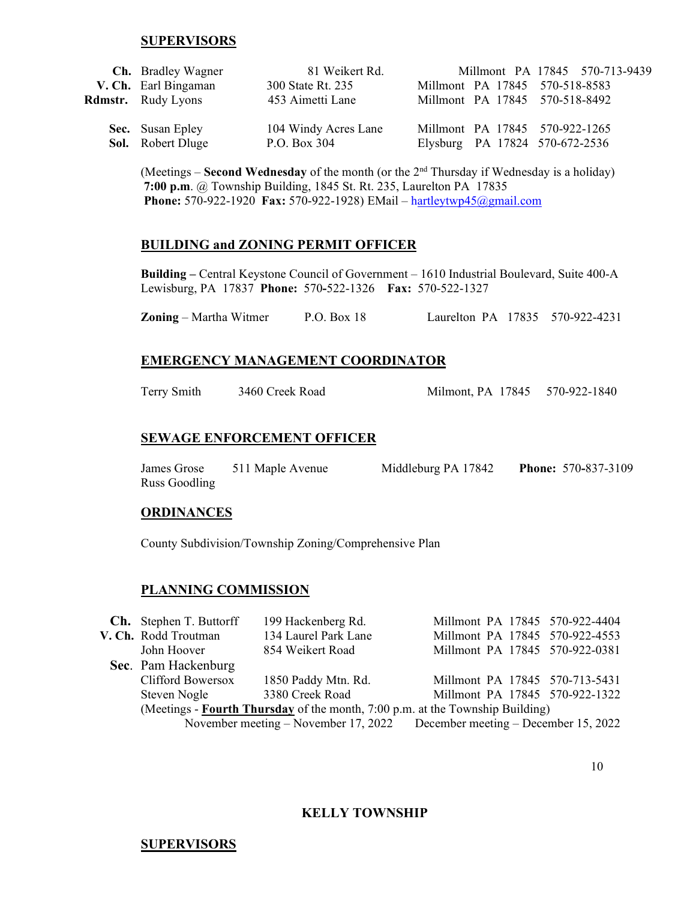#### **SUPERVISORS**

| <b>Ch.</b> Bradley Wagner | 81 Weikert Rd.       |                                | Millmont PA 17845 570-713-9439 |
|---------------------------|----------------------|--------------------------------|--------------------------------|
| V. Ch. Earl Bingaman      | 300 State Rt. 235    | Millmont PA 17845 570-518-8583 |                                |
| <b>Rdmstr.</b> Rudy Lyons | 453 Aimetti Lane     | Millmont PA 17845 570-518-8492 |                                |
|                           |                      |                                |                                |
| <b>Sec.</b> Susan Epley   | 104 Windy Acres Lane | Millmont PA 17845 570-922-1265 |                                |
| <b>Sol.</b> Robert Dluge  | P.O. Box 304         | Elysburg PA 17824 570-672-2536 |                                |

(Meetings – **Second Wednesday** of the month (or the 2nd Thursday if Wednesday is a holiday) **7:00 p.m**. @ Township Building, 1845 St. Rt. 235, Laurelton PA 17835 **Phone:** 570-922-1920 **Fax:** 570-922-1928) EMail – hartleytwp45@gmail.com

#### **BUILDING and ZONING PERMIT OFFICER**

**Building –** Central Keystone Council of Government – 1610 Industrial Boulevard, Suite 400-A Lewisburg, PA 17837 **Phone:** 570**-**522-1326 **Fax:** 570-522-1327

**Zoning** – Martha Witmer P.O. Box 18 Laurelton PA 17835 570-922-4231

#### **EMERGENCY MANAGEMENT COORDINATOR**

Terry Smith 3460 Creek Road Milmont, PA 17845 570-922-1840

#### **SEWAGE ENFORCEMENT OFFICER**

| James Grose   | 511 Maple Avenue | Middleburg PA 17842 | <b>Phone: 570-837-3109</b> |
|---------------|------------------|---------------------|----------------------------|
| Russ Goodling |                  |                     |                            |

#### **ORDINANCES**

County Subdivision/Township Zoning/Comprehensive Plan

#### **PLANNING COMMISSION**

|                                                                               | <b>Ch.</b> Stephen T. Buttorff                                            | 199 Hackenberg Rd.   | Millmont PA 17845 570-922-4404 |  |  |  |
|-------------------------------------------------------------------------------|---------------------------------------------------------------------------|----------------------|--------------------------------|--|--|--|
|                                                                               | V. Ch. Rodd Troutman                                                      | 134 Laurel Park Lane | Millmont PA 17845 570-922-4553 |  |  |  |
|                                                                               | John Hoover                                                               | 854 Weikert Road     | Millmont PA 17845 570-922-0381 |  |  |  |
|                                                                               | Sec. Pam Hackenburg                                                       |                      |                                |  |  |  |
|                                                                               | <b>Clifford Bowersox</b>                                                  | 1850 Paddy Mtn. Rd.  | Millmont PA 17845 570-713-5431 |  |  |  |
|                                                                               | Steven Nogle                                                              | 3380 Creek Road      | Millmont PA 17845 570-922-1322 |  |  |  |
| (Meetings - Fourth Thursday of the month, 7:00 p.m. at the Township Building) |                                                                           |                      |                                |  |  |  |
|                                                                               | November meeting – November 17, 2022 December meeting – December 15, 2022 |                      |                                |  |  |  |
|                                                                               |                                                                           |                      |                                |  |  |  |

#### **KELLY TOWNSHIP**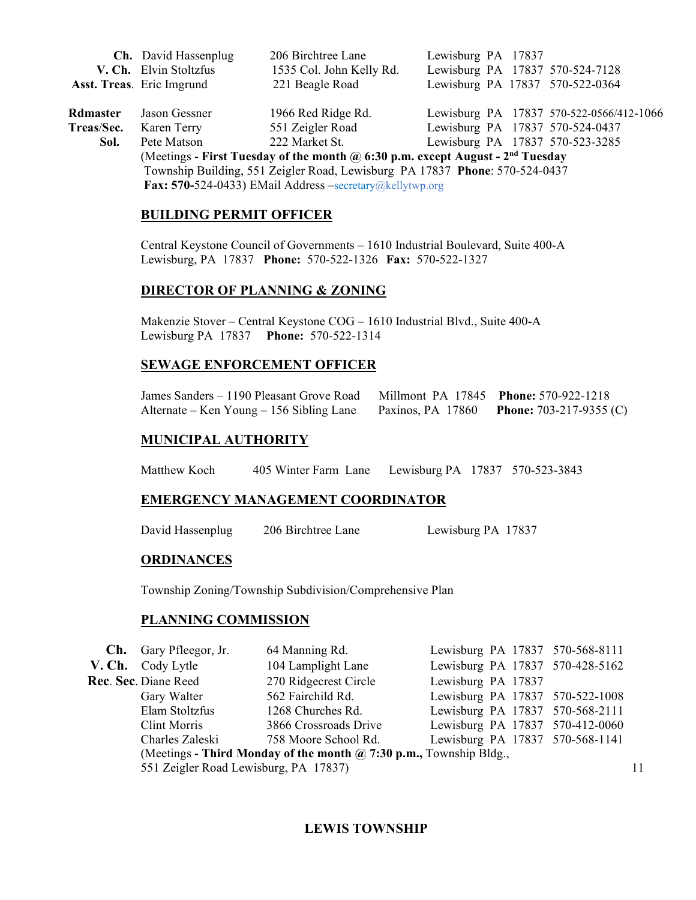|                                                                                                   | Ch. David Hassenplug                                                        | 206 Birchtree Lane       | Lewisburg PA 17837 |                                          |  |  |  |
|---------------------------------------------------------------------------------------------------|-----------------------------------------------------------------------------|--------------------------|--------------------|------------------------------------------|--|--|--|
|                                                                                                   | V. Ch. Elvin Stoltzfus                                                      | 1535 Col. John Kelly Rd. |                    | Lewisburg PA 17837 570-524-7128          |  |  |  |
|                                                                                                   | Asst. Treas. Eric Imgrund                                                   | 221 Beagle Road          |                    | Lewisburg PA 17837 570-522-0364          |  |  |  |
|                                                                                                   |                                                                             |                          |                    |                                          |  |  |  |
| Rdmaster                                                                                          | Jason Gessner                                                               | 1966 Red Ridge Rd.       |                    | Lewisburg PA 17837 570-522-0566/412-1066 |  |  |  |
| Treas/Sec.                                                                                        | Karen Terry                                                                 | 551 Zeigler Road         |                    | Lewisburg PA 17837 570-524-0437          |  |  |  |
| Sol.                                                                                              | Pete Matson                                                                 | 222 Market St.           |                    | Lewisburg PA 17837 570-523-3285          |  |  |  |
| (Meetings - First Tuesday of the month $\omega$ 6:30 p.m. except August - 2 <sup>nd</sup> Tuesday |                                                                             |                          |                    |                                          |  |  |  |
|                                                                                                   | Township Building, 551 Zeigler Road, Lewisburg PA 17837 Phone: 570-524-0437 |                          |                    |                                          |  |  |  |
| <b>Fax: 570-524-0433)</b> EMail Address $-$ secretary@kellytwp.org                                |                                                                             |                          |                    |                                          |  |  |  |

#### **BUILDING PERMIT OFFICER**

Central Keystone Council of Governments – 1610 Industrial Boulevard, Suite 400-A Lewisburg, PA 17837 **Phone:** 570-522-1326 **Fax:** 570**-**522-1327

### **DIRECTOR OF PLANNING & ZONING**

Makenzie Stover – Central Keystone COG – 1610 Industrial Blvd., Suite 400-A Lewisburg PA 17837 **Phone:** 570-522-1314

#### **SEWAGE ENFORCEMENT OFFICER**

| James Sanders – 1190 Pleasant Grove Road Millmont PA 17845 Phone: 570-922-1218     |  |
|------------------------------------------------------------------------------------|--|
| Alternate – Ken Young – 156 Sibling Lane Paxinos, PA 17860 Phone: 703-217-9355 (C) |  |

#### **MUNICIPAL AUTHORITY**

Matthew Koch 405 Winter Farm Lane Lewisburg PA 17837 570-523-3843

#### **EMERGENCY MANAGEMENT COORDINATOR**

David Hassenplug 206 Birchtree Lane Lewisburg PA 17837

#### **ORDINANCES**

Township Zoning/Township Subdivision/Comprehensive Plan

#### **PLANNING COMMISSION**

|                                                                           | <b>Ch.</b> Gary Pfleegor, Jr.         | 64 Manning Rd.        |                    |  |  | Lewisburg PA 17837 570-568-8111 |    |
|---------------------------------------------------------------------------|---------------------------------------|-----------------------|--------------------|--|--|---------------------------------|----|
|                                                                           | V. Ch. Cody Lytle                     | 104 Lamplight Lane    |                    |  |  | Lewisburg PA 17837 570-428-5162 |    |
|                                                                           | Rec. Sec. Diane Reed                  | 270 Ridgecrest Circle | Lewisburg PA 17837 |  |  |                                 |    |
|                                                                           | Gary Walter                           | 562 Fairchild Rd.     |                    |  |  | Lewisburg PA 17837 570-522-1008 |    |
|                                                                           | Elam Stoltzfus                        | 1268 Churches Rd.     |                    |  |  | Lewisburg PA 17837 570-568-2111 |    |
|                                                                           | Clint Morris                          | 3866 Crossroads Drive |                    |  |  | Lewisburg PA 17837 570-412-0060 |    |
|                                                                           | Charles Zaleski                       | 758 Moore School Rd.  |                    |  |  | Lewisburg PA 17837 570-568-1141 |    |
| (Meetings - Third Monday of the month $\omega$ 7:30 p.m., Township Bldg., |                                       |                       |                    |  |  |                                 |    |
|                                                                           | 551 Zeigler Road Lewisburg, PA 17837) |                       |                    |  |  |                                 | 11 |
|                                                                           |                                       |                       |                    |  |  |                                 |    |

# **LEWIS TOWNSHIP**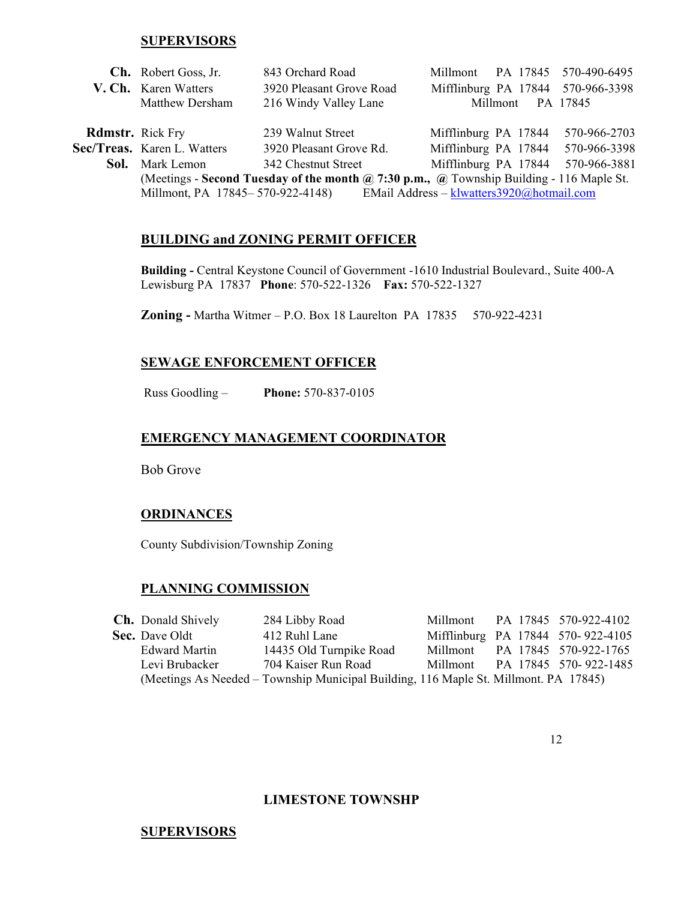#### **SUPERVISORS**

|                         | <b>Ch.</b> Robert Goss, Jr.                                                              | 843 Orchard Road         | Millmont PA 17845 570-490-6495    |  |              |
|-------------------------|------------------------------------------------------------------------------------------|--------------------------|-----------------------------------|--|--------------|
|                         | V. Ch. Karen Watters                                                                     | 3920 Pleasant Grove Road | Mifflinburg PA 17844 570-966-3398 |  |              |
|                         | <b>Matthew Dersham</b>                                                                   | 216 Windy Valley Lane    | Millmont                          |  | PA 17845     |
|                         |                                                                                          |                          |                                   |  |              |
| <b>Rdmstr.</b> Rick Fry |                                                                                          | 239 Walnut Street        | Mifflinburg PA 17844              |  | 570-966-2703 |
|                         | Sec/Treas. Karen L. Watters                                                              | 3920 Pleasant Grove Rd.  | Mifflinburg PA 17844              |  | 570-966-3398 |
|                         | <b>Sol.</b> Mark Lemon                                                                   | 342 Chestnut Street      | Mifflinburg PA 17844 570-966-3881 |  |              |
|                         | (Meetings - Second Tuesday of the month @ 7:30 p.m., @ Township Building - 116 Maple St. |                          |                                   |  |              |
|                         | EMail Address - klwatters3920@hotmail.com<br>Millmont, PA 17845-570-922-4148)            |                          |                                   |  |              |

#### **BUILDING and ZONING PERMIT OFFICER**

**Building -** Central Keystone Council of Government -1610 Industrial Boulevard., Suite 400-A Lewisburg PA 17837 **Phone**: 570-522-1326 **Fax:** 570-522-1327

**Zoning -** Martha Witmer – P.O. Box 18 Laurelton PA 17835 570-922-4231

#### **SEWAGE ENFORCEMENT OFFICER**

Russ Goodling – **Phone:** 570-837-0105

#### **EMERGENCY MANAGEMENT COORDINATOR**

Bob Grove

#### **ORDINANCES**

County Subdivision/Township Zoning

#### **PLANNING COMMISSION**

| <b>Ch.</b> Donald Shively | 284 Libby Road                                                                       |          | Millmont PA 17845 570-922-4102    |
|---------------------------|--------------------------------------------------------------------------------------|----------|-----------------------------------|
| <b>Sec.</b> Dave Oldt     | 412 Ruhl Lane                                                                        |          | Mifflinburg PA 17844 570-922-4105 |
| Edward Martin             | 14435 Old Turnpike Road                                                              |          | Millmont PA 17845 570-922-1765    |
| Levi Brubacker            | 704 Kaiser Run Road                                                                  | Millmont | PA 17845 570-922-1485             |
|                           | (Meetings As Needed – Township Municipal Building, 116 Maple St. Millmont. PA 17845) |          |                                   |

#### **LIMESTONE TOWNSHP**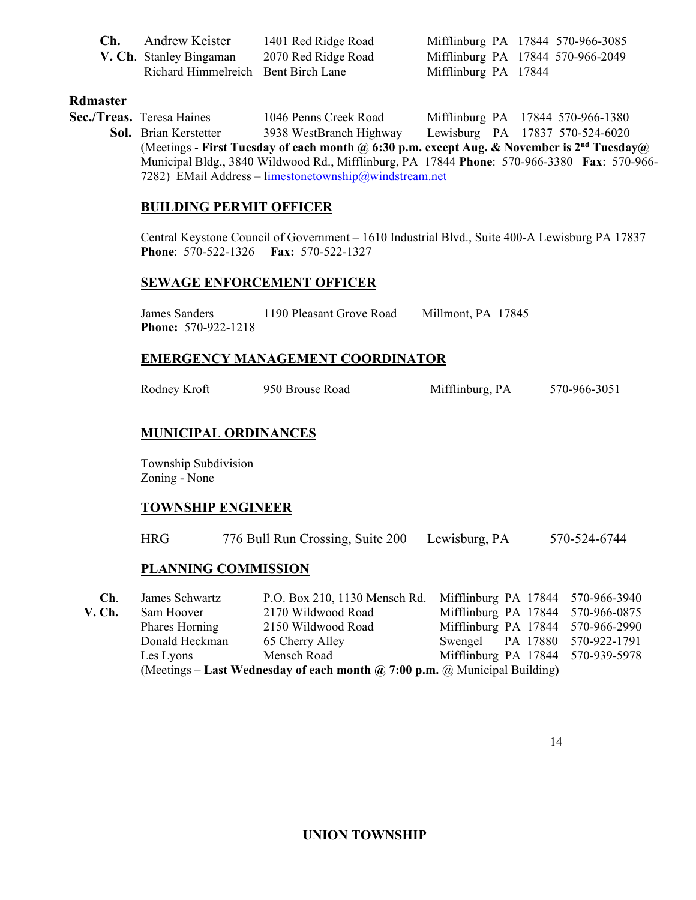| Ch. | Andrew Keister                      | 1401 Red Ridge Road |                      | Mifflinburg PA 17844 570-966-3085 |
|-----|-------------------------------------|---------------------|----------------------|-----------------------------------|
|     | V. Ch. Stanley Bingaman             | 2070 Red Ridge Road |                      | Mifflinburg PA 17844 570-966-2049 |
|     | Richard Himmelreich Bent Birch Lane |                     | Mifflinburg PA 17844 |                                   |

#### **Rdmaster**

 **Sec./Treas.** Teresa Haines 1046 Penns Creek Road Mifflinburg PA 17844 570-966-1380 **Sol.** Brian Kerstetter 3938 WestBranch Highway Lewisburg PA 17837 570-524-6020 (Meetings - **First Tuesday of each month @ 6:30 p.m. except Aug. & November is 2nd Tuesday@**  Municipal Bldg., 3840 Wildwood Rd., Mifflinburg, PA 17844 **Phone**: 570-966-3380 **Fax**: 570-966- 7282) EMail Address – limestonetownship@windstream.net

#### **BUILDING PERMIT OFFICER**

Central Keystone Council of Government – 1610 Industrial Blvd., Suite 400-A Lewisburg PA 17837 **Phone**: 570-522-1326 **Fax:** 570-522-1327

#### **SEWAGE ENFORCEMENT OFFICER**

James Sanders 1190 Pleasant Grove Road Millmont, PA 17845 **Phone:** 570-922-1218

#### **EMERGENCY MANAGEMENT COORDINATOR**

| Rodney Kroft | 950 Brouse Road | Mifflinburg, PA | 570-966-3051 |
|--------------|-----------------|-----------------|--------------|
|              |                 |                 |              |

# **MUNICIPAL ORDINANCES**

Township Subdivision Zoning - None

### **TOWNSHIP ENGINEER**

HRG 776 Bull Run Crossing, Suite 200 Lewisburg, PA 570-524-6744

#### **PLANNING COMMISSION**

| Ch.                                                                                      | James Schwartz | P.O. Box 210, 1130 Mensch Rd. Mifflinburg PA 17844 570-966-3940 |                                   |  |
|------------------------------------------------------------------------------------------|----------------|-----------------------------------------------------------------|-----------------------------------|--|
| V. Ch.                                                                                   | Sam Hoover     | 2170 Wildwood Road                                              | Mifflinburg PA 17844 570-966-0875 |  |
|                                                                                          | Phares Horning | 2150 Wildwood Road                                              | Mifflinburg PA 17844 570-966-2990 |  |
|                                                                                          | Donald Heckman | 65 Cherry Alley                                                 | Swengel PA 17880 570-922-1791     |  |
|                                                                                          | Les Lyons      | Mensch Road                                                     | Mifflinburg PA 17844 570-939-5978 |  |
| (Meetings – Last Wednesday of each month $\omega$ 7:00 p.m. $\omega$ Municipal Building) |                |                                                                 |                                   |  |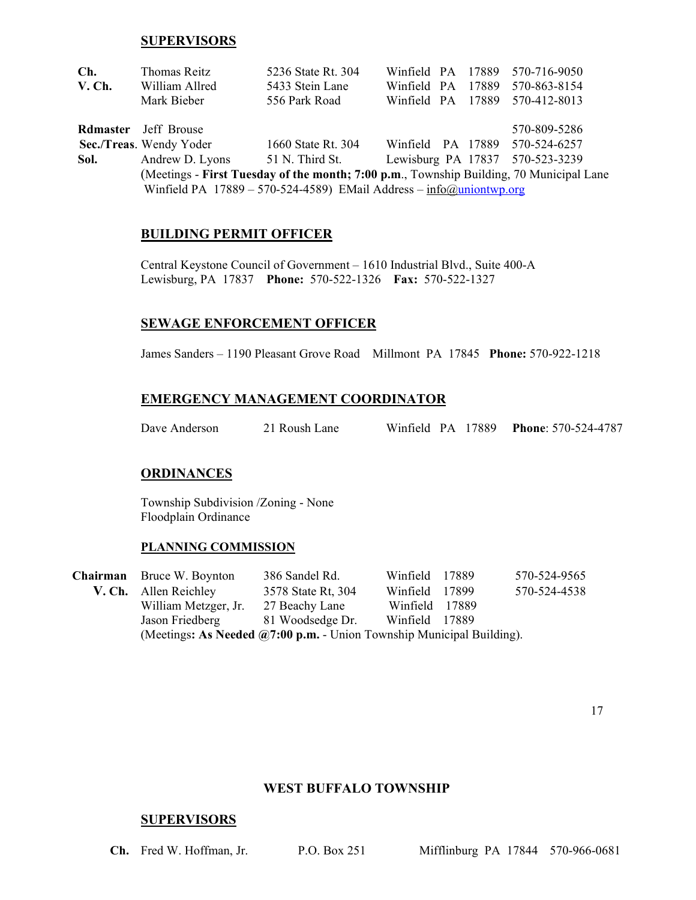#### **SUPERVISORS**

| Ch.    | Thomas Reitz                                                                            | 5236 State Rt. 304                                                                         |                                 |  | Winfield PA 17889 570-716-9050 |
|--------|-----------------------------------------------------------------------------------------|--------------------------------------------------------------------------------------------|---------------------------------|--|--------------------------------|
| V. Ch. | William Allred                                                                          | 5433 Stein Lane                                                                            |                                 |  | Winfield PA 17889 570-863-8154 |
|        | Mark Bieber                                                                             | 556 Park Road                                                                              |                                 |  | Winfield PA 17889 570-412-8013 |
|        | <b>Rdmaster</b> Jeff Brouse                                                             |                                                                                            |                                 |  | 570-809-5286                   |
|        | Sec./Treas. Wendy Yoder                                                                 | 1660 State Rt. 304                                                                         |                                 |  | Winfield PA 17889 570-524-6257 |
| Sol.   |                                                                                         | Andrew D. Lyons 51 N. Third St.                                                            | Lewisburg PA 17837 570-523-3239 |  |                                |
|        | (Meetings - First Tuesday of the month; 7:00 p.m., Township Building, 70 Municipal Lane |                                                                                            |                                 |  |                                |
|        |                                                                                         | Winfield PA $17889 - 570 - 524 - 4589$ ) EMail Address - $\frac{info(\alpha)$ uniontwp.org |                                 |  |                                |

#### **BUILDING PERMIT OFFICER**

Central Keystone Council of Government – 1610 Industrial Blvd., Suite 400-A Lewisburg, PA 17837 **Phone:** 570-522-1326 **Fax:** 570-522-1327

#### **SEWAGE ENFORCEMENT OFFICER**

James Sanders – 1190 Pleasant Grove Road Millmont PA 17845 **Phone:** 570-922-1218

#### **EMERGENCY MANAGEMENT COORDINATOR**

Dave Anderson 21 Roush Lane Winfield PA 17889 **Phone**: 570-524-4787

#### **ORDINANCES**

Township Subdivision /Zoning - None Floodplain Ordinance

#### **PLANNING COMMISSION**

 **Chairman** Bruce W. Boynton 386 Sandel Rd. Winfield 17889 570-524-9565 **V. Ch.** Allen Reichley 3578 State Rt, 304 Winfield 17899 570-524-4538 William Metzger, Jr. 27 Beachy Lane Winfield 17889 Jason Friedberg 81 Woodsedge Dr. Winfield 17889 (Meetings**: As Needed @7:00 p.m.** - Union Township Municipal Building).

#### **WEST BUFFALO TOWNSHIP**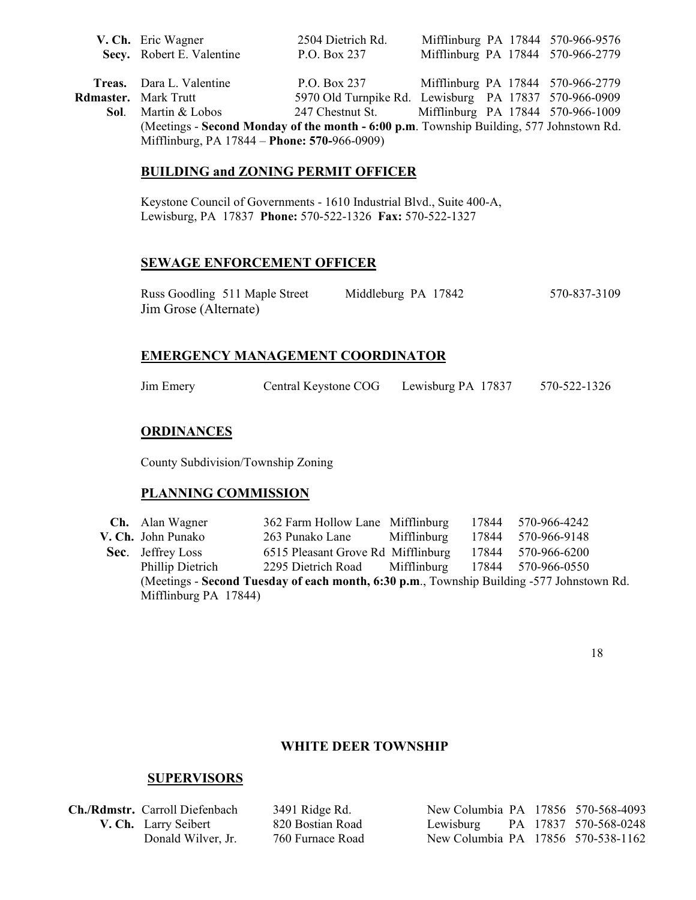|                                                                                         | V. Ch. Eric Wagner              | 2504 Dietrich Rd.                                     |  |  |  | Mifflinburg PA 17844 570-966-9576 |
|-----------------------------------------------------------------------------------------|---------------------------------|-------------------------------------------------------|--|--|--|-----------------------------------|
|                                                                                         | Secv. Robert E. Valentine       | P.O. Box 237                                          |  |  |  | Mifflinburg PA 17844 570-966-2779 |
|                                                                                         |                                 |                                                       |  |  |  |                                   |
|                                                                                         | <b>Treas.</b> Dara L. Valentine | P.O. Box 237                                          |  |  |  | Mifflinburg PA 17844 570-966-2779 |
|                                                                                         | <b>Rdmaster.</b> Mark Trutt     | 5970 Old Turnpike Rd. Lewisburg PA 17837 570-966-0909 |  |  |  |                                   |
| Sol.                                                                                    | Martin & Lobos                  | 247 Chestnut St. Mifflinburg PA 17844 570-966-1009    |  |  |  |                                   |
| (Meetings - Second Monday of the month - 6:00 p.m. Township Building, 577 Johnstown Rd. |                                 |                                                       |  |  |  |                                   |
| Mifflinburg, PA 17844 – Phone: 570-966-0909)                                            |                                 |                                                       |  |  |  |                                   |

#### **BUILDING and ZONING PERMIT OFFICER**

Keystone Council of Governments - 1610 Industrial Blvd., Suite 400-A, Lewisburg, PA 17837 **Phone:** 570-522-1326 **Fax:** 570-522-1327

#### **SEWAGE ENFORCEMENT OFFICER**

| Russ Goodling 511 Maple Street | Middleburg PA 17842 | 570-837-3109 |
|--------------------------------|---------------------|--------------|
| Jim Grose (Alternate)          |                     |              |

### **EMERGENCY MANAGEMENT COORDINATOR**

Jim Emery Central Keystone COG Lewisburg PA 17837 570-522-1326

### **ORDINANCES**

County Subdivision/Township Zoning

#### **PLANNING COMMISSION**

 **Ch.** Alan Wagner 362 Farm Hollow Lane Mifflinburg 17844 570-966-4242 **V. Ch.** John Punako 263 Punako Lane Mifflinburg 17844 570-966-9148 **Sec.** Jeffrey Loss 6515 Pleasant Grove Rd Mifflinburg 17844 570-966-6200 Phillip Dietrich 2295 Dietrich Road Mifflinburg 17844 570-966-0550 (Meetings - **Second Tuesday of each month, 6:30 p.m**., Township Building -577 Johnstown Rd. Mifflinburg PA 17844)

18

# **WHITE DEER TOWNSHIP**

| Ch./Rdmstr. Carroll Diefenbach | 3491 Ridge Rd.   | New Columbia PA 17856 570-568-4093 |  |
|--------------------------------|------------------|------------------------------------|--|
| V. Ch. Larry Seibert           | 820 Bostian Road | Lewisburg PA 17837 570-568-0248    |  |
| Donald Wilver, Jr.             | 760 Furnace Road | New Columbia PA 17856 570-538-1162 |  |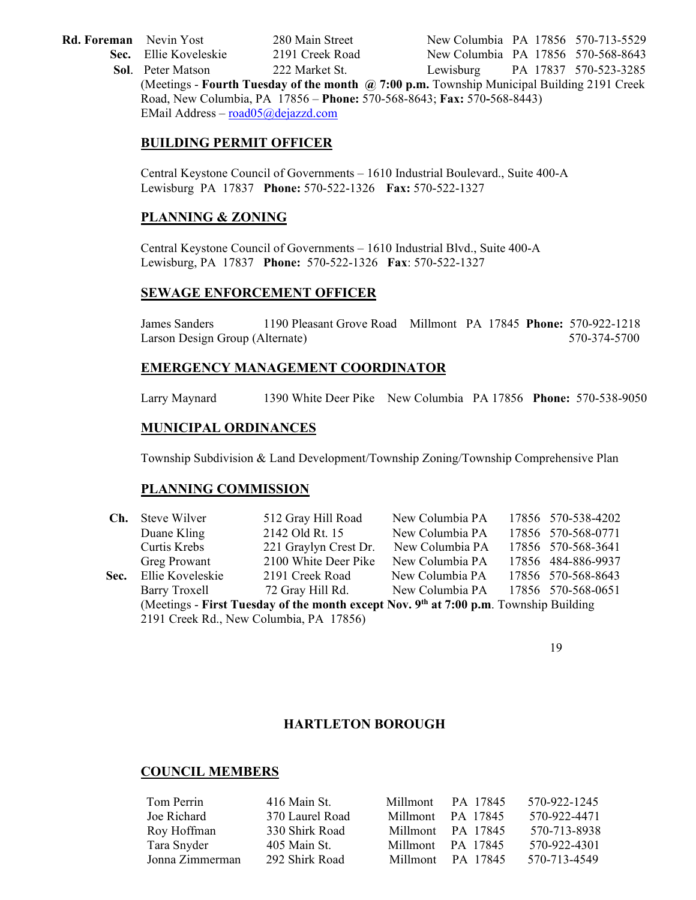- 
- 

Rd. Foreman Nevin Yost 280 Main Street New Columbia PA 17856 570-713-5529 Sec. Ellie Koveleskie 2191 Creek Road New Columbia PA 17856 570-568-8643

 **Sol**. Peter Matson 222 Market St. Lewisburg PA 17837 570-523-3285 (Meetings - **Fourth Tuesday of the month @ 7:00 p.m.** Township Municipal Building 2191 Creek Road, New Columbia, PA 17856 – **Phone:** 570-568-8643; **Fax:** 570**-**568-8443) EMail Address – [road05@dejazzd.com](mailto:road05@dejazzd.com)

# **BUILDING PERMIT OFFICER**

Central Keystone Council of Governments – 1610 Industrial Boulevard., Suite 400-A Lewisburg PA 17837 **Phone:** 570-522-1326 **Fax:** 570-522-1327

# **PLANNING & ZONING**

Central Keystone Council of Governments – 1610 Industrial Blvd., Suite 400-A Lewisburg, PA 17837 **Phone:** 570-522-1326 **Fax**: 570-522-1327

### **SEWAGE ENFORCEMENT OFFICER**

James Sanders 1190 Pleasant Grove Road Millmont PA 17845 **Phone:** 570-922-1218 Larson Design Group (Alternate) 570-374-5700

#### **EMERGENCY MANAGEMENT COORDINATOR**

Larry Maynard 1390 White Deer Pike New Columbia PA 17856 **Phone:** 570-538-9050

#### **MUNICIPAL ORDINANCES**

Township Subdivision & Land Development/Township Zoning/Township Comprehensive Plan

#### **PLANNING COMMISSION**

| Ch.                                                                                                                              | Steve Wilver     | 512 Gray Hill Road    | New Columbia PA |  | 17856 570-538-4202 |
|----------------------------------------------------------------------------------------------------------------------------------|------------------|-----------------------|-----------------|--|--------------------|
|                                                                                                                                  | Duane Kling      | 2142 Old Rt. 15       | New Columbia PA |  | 17856 570-568-0771 |
|                                                                                                                                  | Curtis Krebs     | 221 Graylyn Crest Dr. | New Columbia PA |  | 17856 570-568-3641 |
|                                                                                                                                  | Greg Prowant     | 2100 White Deer Pike  | New Columbia PA |  | 17856 484-886-9937 |
| Sec.                                                                                                                             | Ellie Koveleskie | 2191 Creek Road       | New Columbia PA |  | 17856 570-568-8643 |
|                                                                                                                                  | Barry Troxell    | 72 Gray Hill Rd.      | New Columbia PA |  | 17856 570-568-0651 |
| (Meetings - First Tuesday of the month except Nov. 9th at 7:00 p.m. Township Building<br>2191 Creek Rd., New Columbia, PA 17856) |                  |                       |                 |  |                    |

19

### **HARTLETON BOROUGH**

| Tom Perrin      | 416 Main St.    | Millmont | PA 17845          | 570-922-1245 |
|-----------------|-----------------|----------|-------------------|--------------|
| Joe Richard     | 370 Laurel Road | Millmont | PA 17845          | 570-922-4471 |
| Roy Hoffman     | 330 Shirk Road  |          | Millmont PA 17845 | 570-713-8938 |
| Tara Snyder     | 405 Main St.    |          | Millmont PA 17845 | 570-922-4301 |
| Jonna Zimmerman | 292 Shirk Road  |          | Millmont PA 17845 | 570-713-4549 |
|                 |                 |          |                   |              |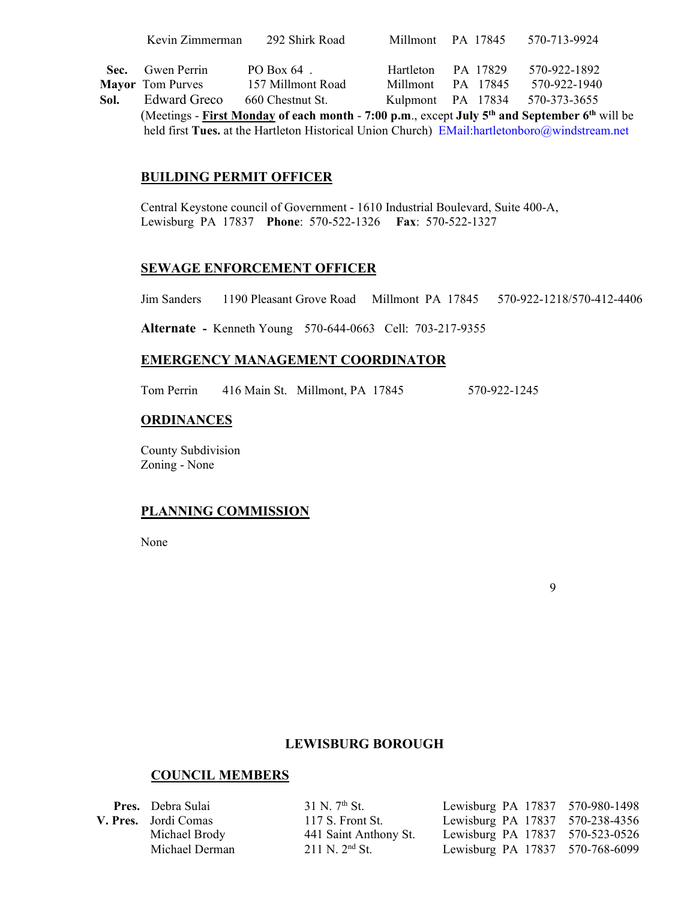|      | Kevin Zimmerman                                                                                                       | 292 Shirk Road    |           | Millmont PA 17845 | 570-713-9924                   |  |
|------|-----------------------------------------------------------------------------------------------------------------------|-------------------|-----------|-------------------|--------------------------------|--|
|      |                                                                                                                       |                   |           |                   |                                |  |
| Sec. | Gwen Perrin                                                                                                           | PO Box $64$ .     | Hartleton | PA 17829          | 570-922-1892                   |  |
|      | <b>Mayor</b> Tom Purves                                                                                               | 157 Millmont Road |           | Millmont PA 17845 | 570-922-1940                   |  |
| Sol. | <b>Edward Greco</b>                                                                                                   | 660 Chestnut St.  |           |                   | Kulpmont PA 17834 570-373-3655 |  |
|      | (Meetings - First Monday of each month - 7:00 p.m., except July 5 <sup>th</sup> and September 6 <sup>th</sup> will be |                   |           |                   |                                |  |

held first Tues. at the Hartleton Historical Union Church) EMail:hartletonboro@windstream.net

# **BUILDING PERMIT OFFICER**

Central Keystone council of Government - 1610 Industrial Boulevard, Suite 400-A, Lewisburg PA 17837 **Phone**: 570-522-1326 **Fax**: 570-522-1327

#### **SEWAGE ENFORCEMENT OFFICER**

Jim Sanders 1190 Pleasant Grove Road Millmont PA 17845 570-922-1218/570-412-4406

**Alternate -** Kenneth Young 570-644-0663 Cell: 703-217-9355

#### **EMERGENCY MANAGEMENT COORDINATOR**

Tom Perrin 416 Main St. Millmont, PA 17845 570-922-1245

#### **ORDINANCES**

County Subdivision Zoning - None

### **PLANNING COMMISSION**

None

9

### **LEWISBURG BOROUGH**

| <b>Pres.</b> Debra Sulai | $31$ N. $7th$ St.     | Lewisburg PA 17837 570-980-1498 |  |
|--------------------------|-----------------------|---------------------------------|--|
| V. Pres. Jordi Comas     | 117 S. Front St.      | Lewisburg PA 17837 570-238-4356 |  |
| Michael Brody            | 441 Saint Anthony St. | Lewisburg PA 17837 570-523-0526 |  |
| Michael Derman           | $211$ N. $2^{nd}$ St. | Lewisburg PA 17837 570-768-6099 |  |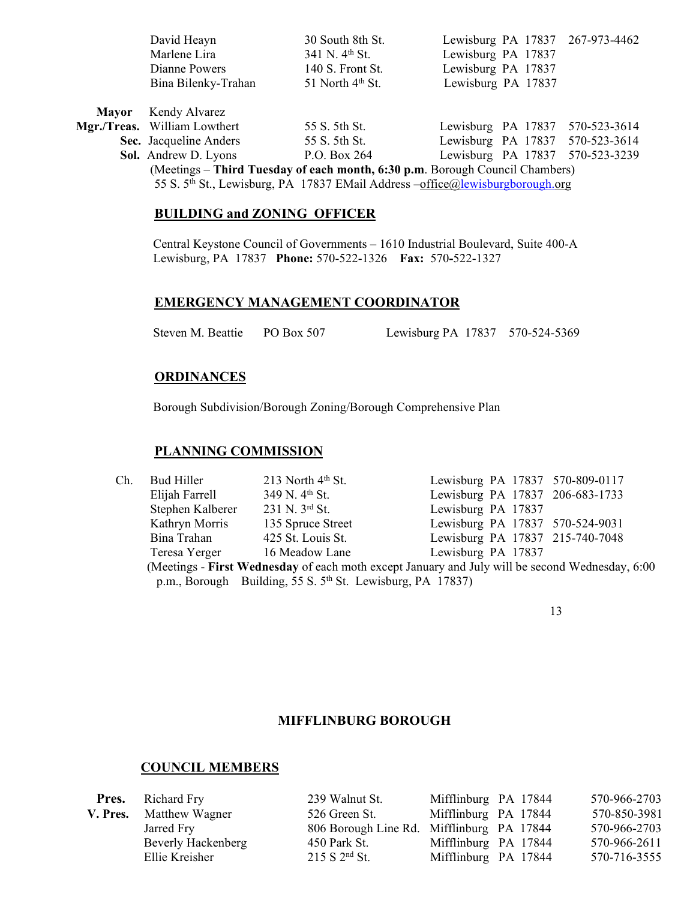|              | David Heayn                                                                               | 30 South 8th St.             |                    |  |  | Lewisburg PA 17837 267-973-4462 |
|--------------|-------------------------------------------------------------------------------------------|------------------------------|--------------------|--|--|---------------------------------|
|              | Marlene Lira                                                                              | $341$ N. $4^{\text{th}}$ St. | Lewisburg PA 17837 |  |  |                                 |
|              | Dianne Powers                                                                             | 140 S. Front St.             | Lewisburg PA 17837 |  |  |                                 |
|              | Bina Bilenky-Trahan                                                                       | 51 North $4th$ St.           | Lewisburg PA 17837 |  |  |                                 |
| <b>Mayor</b> | Kendy Alvarez                                                                             |                              |                    |  |  |                                 |
|              | Mgr./Treas. William Lowthert                                                              | 55 S. 5th St.                |                    |  |  | Lewisburg PA 17837 570-523-3614 |
|              | Sec. Jacqueline Anders                                                                    | 55 S. 5th St.                |                    |  |  | Lewisburg PA 17837 570-523-3614 |
|              | Sol. Andrew D. Lyons                                                                      | P.O. Box 264                 | Lewisburg PA 17837 |  |  | 570-523-3239                    |
|              | (Meetings – Third Tuesday of each month, 6:30 p.m. Borough Council Chambers)              |                              |                    |  |  |                                 |
|              | 55 S. 5 <sup>th</sup> St., Lewisburg, PA 17837 EMail Address -office@lewisburgborough.org |                              |                    |  |  |                                 |

### **BUILDING and ZONING OFFICER**

 Central Keystone Council of Governments – 1610 Industrial Boulevard, Suite 400-A Lewisburg, PA 17837 **Phone:** 570-522-1326 **Fax:** 570**-**522-1327

# **EMERGENCY MANAGEMENT COORDINATOR**

Steven M. Beattie PO Box 507 Lewisburg PA 17837 570-524-5369

# **ORDINANCES**

Borough Subdivision/Borough Zoning/Borough Comprehensive Plan

#### **PLANNING COMMISSION**

| Ch.                                                                                              | Bud Hiller       | 213 North $4th$ St.                                                    | Lewisburg PA 17837 570-809-0117 |  |  |  |
|--------------------------------------------------------------------------------------------------|------------------|------------------------------------------------------------------------|---------------------------------|--|--|--|
|                                                                                                  | Elijah Farrell   | 349 N. 4 <sup>th</sup> St.                                             | Lewisburg PA 17837 206-683-1733 |  |  |  |
|                                                                                                  | Stephen Kalberer | 231 N. 3rd St.                                                         | Lewisburg PA 17837              |  |  |  |
|                                                                                                  | Kathryn Morris   | 135 Spruce Street                                                      | Lewisburg PA 17837 570-524-9031 |  |  |  |
|                                                                                                  | Bina Trahan      | 425 St. Louis St.                                                      | Lewisburg PA 17837 215-740-7048 |  |  |  |
|                                                                                                  | Teresa Yerger    | 16 Meadow Lane                                                         | Lewisburg PA 17837              |  |  |  |
| (Meetings - First Wednesday of each moth except January and July will be second Wednesday, 6:00) |                  |                                                                        |                                 |  |  |  |
|                                                                                                  |                  | p.m., Borough Building, 55 S. 5 <sup>th</sup> St. Lewisburg, PA 17837) |                                 |  |  |  |

13

#### **MIFFLINBURG BOROUGH**

| <b>Pres.</b> Richard Fry | 239 Walnut St.                            | Mifflinburg PA 17844 | 570-966-2703 |
|--------------------------|-------------------------------------------|----------------------|--------------|
| V. Pres. Matthew Wagner  | 526 Green St.                             | Mifflinburg PA 17844 | 570-850-3981 |
| Jarred Fry               | 806 Borough Line Rd. Mifflinburg PA 17844 |                      | 570-966-2703 |
| Beverly Hackenberg       | 450 Park St.                              | Mifflinburg PA 17844 | 570-966-2611 |
| Ellie Kreisher           | 215 S 2 <sup>nd</sup> St.                 | Mifflinburg PA 17844 | 570-716-3555 |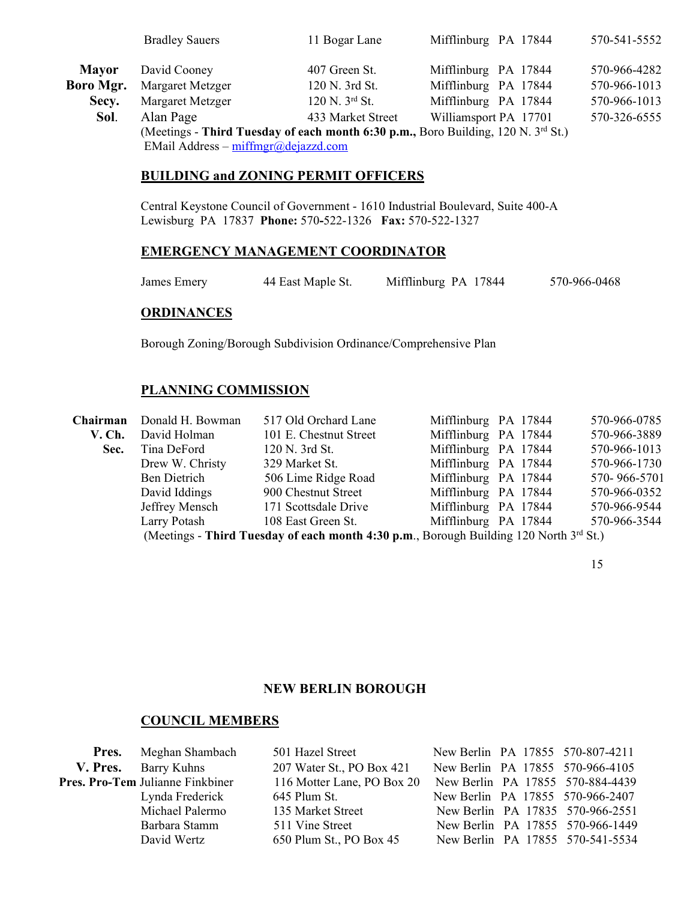|                  | <b>Bradley Sauers</b>                                                                                                    | 11 Bogar Lane     | Mifflinburg PA 17844  | 570-541-5552 |
|------------------|--------------------------------------------------------------------------------------------------------------------------|-------------------|-----------------------|--------------|
| <b>Mayor</b>     | David Cooney                                                                                                             | 407 Green St.     | Mifflinburg PA 17844  | 570-966-4282 |
| <b>Boro Mgr.</b> | Margaret Metzger                                                                                                         | 120 N. 3rd St.    | Mifflinburg PA 17844  | 570-966-1013 |
| Secy.            | Margaret Metzger                                                                                                         | 120 N. 3rd St.    | Mifflinburg PA 17844  | 570-966-1013 |
| Sol.             | Alan Page                                                                                                                | 433 Market Street | Williamsport PA 17701 | 570-326-6555 |
|                  | (Meetings - Third Tuesday of each month 6:30 p.m., Boro Building, 120 N. 3rd St.)<br>EMail Address - miffmgr@dejazzd.com |                   |                       |              |

#### **BUILDING and ZONING PERMIT OFFICERS**

Central Keystone Council of Government - 1610 Industrial Boulevard, Suite 400-A Lewisburg PA 17837 **Phone:** 570**-**522-1326 **Fax:** 570-522-1327

# **EMERGENCY MANAGEMENT COORDINATOR**

| 44 East Maple St.<br>James Emerv | Mifflinburg PA 17844 | 570-966-0468 |
|----------------------------------|----------------------|--------------|
|----------------------------------|----------------------|--------------|

#### **ORDINANCES**

Borough Zoning/Borough Subdivision Ordinance/Comprehensive Plan

#### **PLANNING COMMISSION**

|                                                                                             | Chairman Donald H. Bowman | 517 Old Orchard Lane   | Mifflinburg PA 17844 | 570-966-0785 |  |
|---------------------------------------------------------------------------------------------|---------------------------|------------------------|----------------------|--------------|--|
| V. Ch.                                                                                      | David Holman              | 101 E. Chestnut Street | Mifflinburg PA 17844 | 570-966-3889 |  |
| Sec.                                                                                        | Tina DeFord               | 120 N. 3rd St.         | Mifflinburg PA 17844 | 570-966-1013 |  |
|                                                                                             | Drew W. Christy           | 329 Market St.         | Mifflinburg PA 17844 | 570-966-1730 |  |
|                                                                                             | Ben Dietrich              | 506 Lime Ridge Road    | Mifflinburg PA 17844 | 570-966-5701 |  |
|                                                                                             | David Iddings             | 900 Chestnut Street    | Mifflinburg PA 17844 | 570-966-0352 |  |
|                                                                                             | Jeffrey Mensch            | 171 Scottsdale Drive   | Mifflinburg PA 17844 | 570-966-9544 |  |
|                                                                                             | Larry Potash              | 108 East Green St.     | Mifflinburg PA 17844 | 570-966-3544 |  |
| (Meetings - Third Tuesday of each month 4:30 p.m., Borough Building 120 North $3^{rd}$ St.) |                           |                        |                      |              |  |

15

# **NEW BERLIN BOROUGH**

| <b>Pres.</b> Meghan Shambach     | 501 Hazel Street           |  | New Berlin PA 17855 570-807-4211 |
|----------------------------------|----------------------------|--|----------------------------------|
| V. Pres. Barry Kuhns             | 207 Water St., PO Box 421  |  | New Berlin PA 17855 570-966-4105 |
| Pres. Pro-Tem Julianne Finkbiner | 116 Motter Lane, PO Box 20 |  | New Berlin PA 17855 570-884-4439 |
| Lynda Frederick                  | 645 Plum St.               |  | New Berlin PA 17855 570-966-2407 |
| Michael Palermo                  | 135 Market Street          |  | New Berlin PA 17835 570-966-2551 |
| Barbara Stamm                    | 511 Vine Street            |  | New Berlin PA 17855 570-966-1449 |
| David Wertz                      | 650 Plum St., PO Box 45    |  | New Berlin PA 17855 570-541-5534 |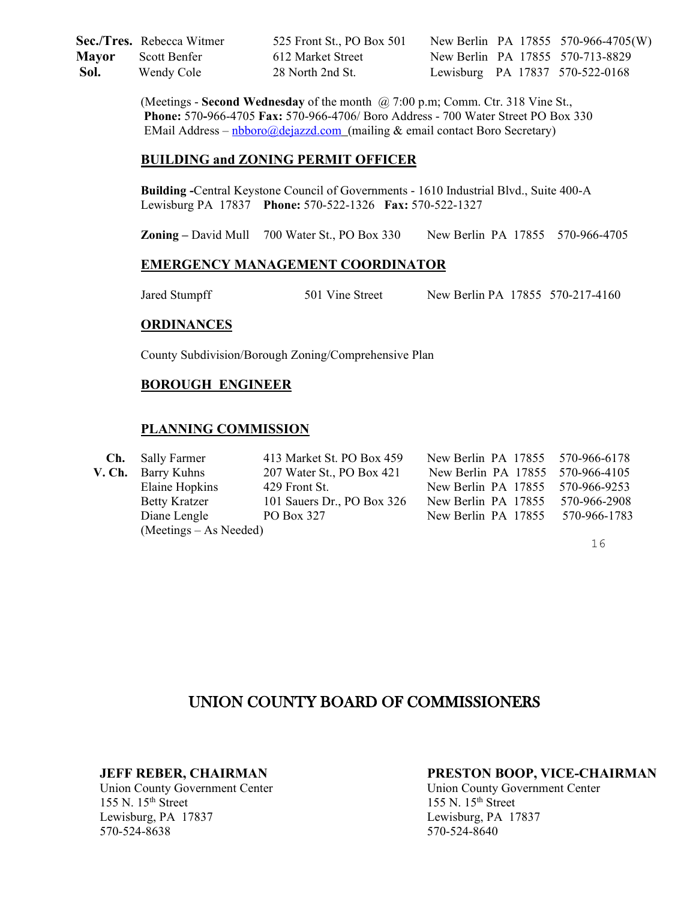**Sec./Tres.** Rebecca Witmer 525 Front St., PO Box 501 New Berlin PA 17855 570-966-4705(W) **Mayor** Scott Benfer 612 Market Street New Berlin PA 17855 570-713-8829  **Sol.** Wendy Cole 28 North 2nd St. Lewisburg PA 17837 570-522-0168

> (Meetings - **Second Wednesday** of the month @ 7:00 p.m; Comm. Ctr. 318 Vine St., **Phone:** 570**-**966-4705 **Fax:** 570-966-4706/ Boro Address - 700 Water Street PO Box 330 EMail Address –  $n\frac{100000 \text{dejazzd.com}}{n\text{ejazzd.com}}$  (mailing & email contact Boro Secretary)

#### **BUILDING and ZONING PERMIT OFFICER**

**Building -**Central Keystone Council of Governments - 1610 Industrial Blvd., Suite 400-A Lewisburg PA 17837 **Phone:** 570-522-1326 **Fax:** 570-522-1327

**Zoning –** David Mull 700 Water St., PO Box 330 New Berlin PA 17855 570-966-4705

#### **EMERGENCY MANAGEMENT COORDINATOR**

Jared Stumpff 501 Vine Street New Berlin PA 17855 570-217-4160

#### **ORDINANCES**

County Subdivision/Borough Zoning/Comprehensive Plan

### **BOROUGH ENGINEER**

#### **PLANNING COMMISSION**

| <b>Ch.</b> Sally Farmer  | 413 Market St. PO Box 459  | New Berlin PA 17855 570-966-6178 |              |
|--------------------------|----------------------------|----------------------------------|--------------|
| V. Ch. Barry Kuhns       | 207 Water St., PO Box 421  | New Berlin PA 17855 570-966-4105 |              |
| Elaine Hopkins           | 429 Front St.              | New Berlin PA 17855 570-966-9253 |              |
| <b>Betty Kratzer</b>     | 101 Sauers Dr., PO Box 326 | New Berlin PA 17855              | 570-966-2908 |
| Diane Lengle             | PO Box 327                 | New Berlin PA 17855 570-966-1783 |              |
| $(Meetings - As Needed)$ |                            |                                  |              |

16

# UNION COUNTY BOARD OF COMMISSIONERS

Union County Government Center Union County Government Center Union County Government Center 155 N. 15<sup>th</sup> Street Lewisburg, PA 17837 Lewisburg, PA 17837 570-524-8638 570-524-8640

#### **JEFF REBER, CHAIRMAN PRESTON BOOP, VICE-CHAIRMAN**

155 N. 15<sup>th</sup> Street